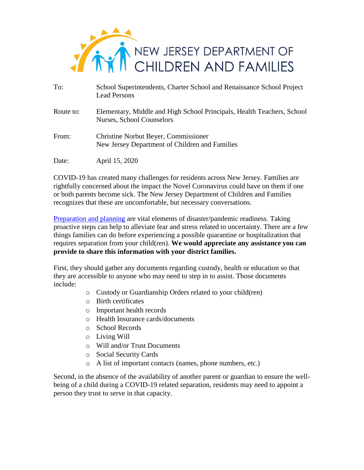

| To:       | School Superintendents, Charter School and Renaissance School Project<br><b>Lead Persons</b>        |
|-----------|-----------------------------------------------------------------------------------------------------|
| Route to: | Elementary, Middle and High School Principals, Health Teachers, School<br>Nurses, School Counselors |
| From:     | <b>Christine Norbut Beyer, Commissioner</b><br>New Jersey Department of Children and Families       |
| Date:     | April 15, 2020                                                                                      |

COVID-19 has created many challenges for residents across New Jersey. Families are rightfully concerned about the impact the Novel Coronavirus could have on them if one or both parents become sick. The New Jersey Department of Children and Families recognizes that these are uncomfortable, but necessary conversations.

[Preparation and planning](https://www.nj.gov/dcf/news/publications/20200409_DCF_Family%20Support%20Kit_TW.PNG) are vital elements of disaster/pandemic readiness. Taking proactive steps can help to alleviate fear and stress related to uncertainty. There are a few things families can do before experiencing a possible quarantine or hospitalization that requires separation from your child(ren). **We would appreciate any assistance you can provide to share this information with your district families.**

First, they should gather any documents regarding custody, health or education so that they are accessible to anyone who may need to step in to assist. Those documents include:

- o Custody or Guardianship Orders related to your child(ren)
- o Birth certificates
- o Important health records
- o Health Insurance cards/documents
- o School Records
- o Living Will
- o Will and/or Trust Documents
- o Social Security Cards
- o A list of important contacts (names, phone numbers, etc.)

Second, in the absence of the availability of another parent or guardian to ensure the wellbeing of a child during a COVID-19 related separation, residents may need to appoint a person they trust to serve in that capacity.